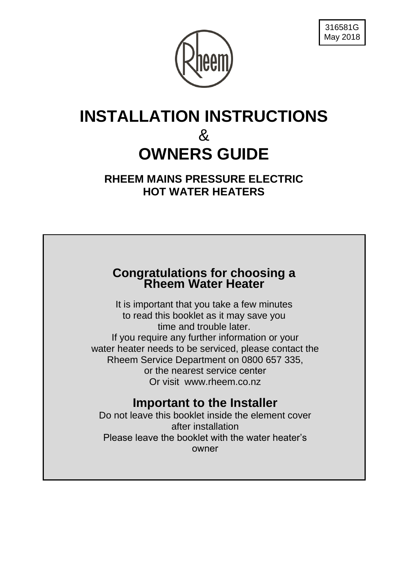



# **INSTALLATION INSTRUCTIONS**  & **OWNERS GUIDE**

**RHEEM MAINS PRESSURE ELECTRIC HOT WATER HEATERS**

### **Congratulations for choosing a Rheem Water Heater**

It is important that you take a few minutes to read this booklet as it may save you time and trouble later. If you require any further information or your water heater needs to be serviced, please contact the Rheem Service Department on 0800 657 335, or the nearest service center Or visit www.rheem.co.nz

# **Important to the Installer**

Do not leave this booklet inside the element cover after installation Please leave the booklet with the water heater's owner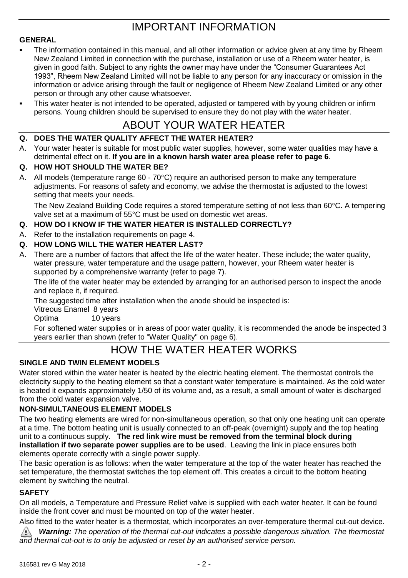## IMPORTANT INFORMATION

#### **GENERAL**

- The information contained in this manual, and all other information or advice given at any time by Rheem New Zealand Limited in connection with the purchase, installation or use of a Rheem water heater, is given in good faith. Subject to any rights the owner may have under the "Consumer Guarantees Act 1993", Rheem New Zealand Limited will not be liable to any person for any inaccuracy or omission in the information or advice arising through the fault or negligence of Rheem New Zealand Limited or any other person or through any other cause whatsoever.
- This water heater is not intended to be operated, adjusted or tampered with by young children or infirm persons. Young children should be supervised to ensure they do not play with the water heater.

### ABOUT YOUR WATER HEATER

#### **Q. DOES THE WATER QUALITY AFFECT THE WATER HEATER?**

A. Your water heater is suitable for most public water supplies, however, some water qualities may have a detrimental effect on it. **If you are in a known harsh water area please refer to page 6**.

#### **Q. HOW HOT SHOULD THE WATER BE?**

A. All models (temperature range  $60 - 70^{\circ}$ C) require an authorised person to make any temperature adjustments. For reasons of safety and economy, we advise the thermostat is adjusted to the lowest setting that meets your needs.

The New Zealand Building Code requires a stored temperature setting of not less than 60°C. A tempering valve set at a maximum of 55°C must be used on domestic wet areas.

#### **Q. HOW DO I KNOW IF THE WATER HEATER IS INSTALLED CORRECTLY?**

A. Refer to the installation requirements on page 4.

#### **Q. HOW LONG WILL THE WATER HEATER LAST?**

A. There are a number of factors that affect the life of the water heater. These include; the water quality, water pressure, water temperature and the usage pattern, however, your Rheem water heater is supported by a comprehensive warranty (refer to page 7).

The life of the water heater may be extended by arranging for an authorised person to inspect the anode and replace it, if required.

The suggested time after installation when the anode should be inspected is:

Vitreous Enamel 8 years

Optima 10 years

For softened water supplies or in areas of poor water quality, it is recommended the anode be inspected 3 years earlier than shown (refer to "Water Quality" on page 6).

### HOW THE WATER HEATER WORKS

#### **SINGLE AND TWIN ELEMENT MODELS**

Water stored within the water heater is heated by the electric heating element. The thermostat controls the electricity supply to the heating element so that a constant water temperature is maintained. As the cold water is heated it expands approximately 1/50 of its volume and, as a result, a small amount of water is discharged from the cold water expansion valve.

#### **NON-SIMULTANEOUS ELEMENT MODELS**

The two heating elements are wired for non-simultaneous operation, so that only one heating unit can operate at a time. The bottom heating unit is usually connected to an off-peak (overnight) supply and the top heating unit to a continuous supply. **The red link wire must be removed from the terminal block during installation if two separate power supplies are to be used**. Leaving the link in place ensures both elements operate correctly with a single power supply.

The basic operation is as follows: when the water temperature at the top of the water heater has reached the set temperature, the thermostat switches the top element off. This creates a circuit to the bottom heating element by switching the neutral.

#### **SAFETY**

On all models, a Temperature and Pressure Relief valve is supplied with each water heater. It can be found inside the front cover and must be mounted on top of the water heater.

Also fitted to the water heater is a thermostat, which incorporates an over-temperature thermal cut-out device.  $\bigwedge$ *Warning: The operation of the thermal cut-out indicates a possible dangerous situation. The thermostat and thermal cut-out is to only be adjusted or reset by an authorised service person.*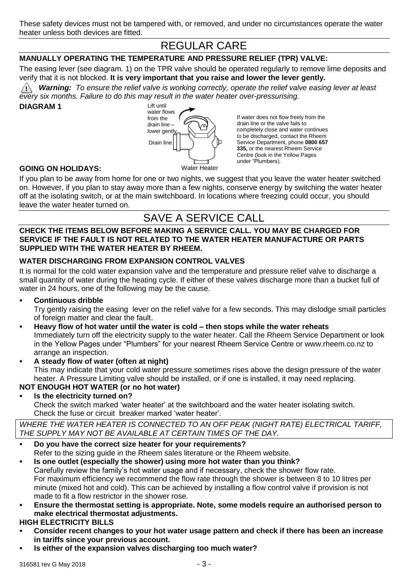# REGULAR CARE

#### **MANUALLY OPERATING THE TEMPERATURE AND PRESSURE RELIEF (TPR) VALVE:**

The easing lever (see diagram. 1) on the TPR valve should be operated regularly to remove lime deposits and verify that it is not blocked. **It is very important that you raise and lower the lever gently.**

*Warning: To ensure the relief valve is working correctly, operate the relief valve easing lever at least every six months. Failure to do this may result in the water heater over-pressurising.*

#### **DIAGRAM 1**



If water does not flow freely from the drain line or the valve fails to completely close and water continues to be discharged, contact the Rheem Service Department, phone **0800 657 335,** or the nearest Rheem Service Centre (look in the Yellow Pages under "Plumbers).

#### **GOING ON HOLIDAYS:**

If you plan to be away from home for one or two nights, we suggest that you leave the water heater switched on. However, if you plan to stay away more than a few nights, conserve energy by switching the water heater off at the isolating switch, or at the main switchboard. In locations where freezing could occur, you should leave the water heater turned on.

### SAVE A SERVICE CALL

#### **CHECK THE ITEMS BELOW BEFORE MAKING A SERVICE CALL. YOU MAY BE CHARGED FOR SERVICE IF THE FAULT IS NOT RELATED TO THE WATER HEATER MANUFACTURE OR PARTS SUPPLIED WITH THE WATER HEATER BY RHEEM.**

#### **WATER DISCHARGING FROM EXPANSION CONTROL VALVES**

It is normal for the cold water expansion valve and the temperature and pressure relief valve to discharge a small quantity of water during the heating cycle. If either of these valves discharge more than a bucket full of water in 24 hours, one of the following may be the cause.

**Continuous dribble**

Try gently raising the easing lever on the relief valve for a few seconds. This may dislodge small particles of foreign matter and clear the fault.

- **Heavy flow of hot water until the water is cold – then stops while the water reheats** Immediately turn off the electricity supply to the water heater. Call the Rheem Service Department or look in the Yellow Pages under "Plumbers" for your nearest Rheem Service Centre or www.rheem.co.nz to arrange an inspection.
- **A steady flow of water (often at night)** This may indicate that your cold water pressure sometimes rises above the design pressure of the water heater. A Pressure Limiting valve should be installed, or if one is installed, it may need replacing. **NOT ENOUGH HOT WATER (or no hot water)**
- **Is the electricity turned on?** Check the switch marked 'water heater' at the switchboard and the water heater isolating switch. Check the fuse or circuit breaker marked 'water heater'.

*WHERE THE WATER HEATER IS CONNECTED TO AN OFF PEAK (NIGHT RATE) ELECTRICAL TARIFF, THE SUPPLY MAY NOT BE AVAILABLE AT CERTAIN TIMES OF THE DAY.*

- **Do you have the correct size heater for your requirements?** Refer to the sizing guide in the Rheem sales literature or the Rheem website.
- **Is one outlet (especially the shower) using more hot water than you think?** Carefully review the family's hot water usage and if necessary, check the shower flow rate. For maximum efficiency we recommend the flow rate through the shower is between 8 to 10 litres per minute (mixed hot and cold). This can be achieved by installing a flow control valve if provision is not made to fit a flow restrictor in the shower rose.
- **Ensure the thermostat setting is appropriate. Note, some models require an authorised person to make electrical thermostat adjustments.**

#### **HIGH ELECTRICITY BILLS**

- **Consider recent changes to your hot water usage pattern and check if there has been an increase in tariffs since your previous account.**
- **Is either of the expansion valves discharging too much water?**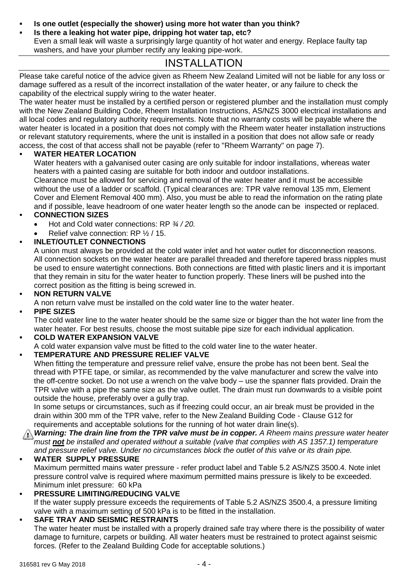- **Is one outlet (especially the shower) using more hot water than you think?**
- **Is there a leaking hot water pipe, dripping hot water tap, etc?**
- Even a small leak will waste a surprisingly large quantity of hot water and energy. Replace faulty tap washers, and have your plumber rectify any leaking pipe-work.

### INSTALLATION

Please take careful notice of the advice given as Rheem New Zealand Limited will not be liable for any loss or damage suffered as a result of the incorrect installation of the water heater, or any failure to check the capability of the electrical supply wiring to the water heater.

The water heater must be installed by a certified person or registered plumber and the installation must comply with the New Zealand Building Code, Rheem Installation Instructions, AS/NZS 3000 electrical installations and all local codes and regulatory authority requirements. Note that no warranty costs will be payable where the water heater is located in a position that does not comply with the Rheem water heater installation instructions or relevant statutory requirements, where the unit is installed in a position that does not allow safe or ready access, the cost of that access shall not be payable (refer to "Rheem Warranty" on page 7).

#### **WATER HEATER LOCATION**

Water heaters with a galvanised outer casing are only suitable for indoor installations, whereas water heaters with a painted casing are suitable for both indoor and outdoor installations.

Clearance must be allowed for servicing and removal of the water heater and it must be accessible without the use of a ladder or scaffold. (Typical clearances are: TPR valve removal 135 mm, Element Cover and Element Removal 400 mm). Also, you must be able to read the information on the rating plate and if possible, leave headroom of one water heater length so the anode can be inspected or replaced.

#### **CONNECTION SIZES**

- Hot and Cold water connections: RP *¾ / 20.*
- Relief valve connection: RP ½ / 15.

#### **INLET/OUTLET CONNECTIONS**

A union must always be provided at the cold water inlet and hot water outlet for disconnection reasons. All connection sockets on the water heater are parallel threaded and therefore tapered brass nipples must be used to ensure watertight connections. Both connections are fitted with plastic liners and it is important that they remain in situ for the water heater to function properly. These liners will be pushed into the correct position as the fitting is being screwed in.

#### **NON RETURN VALVE**

A non return valve must be installed on the cold water line to the water heater.

#### **PIPE SIZES**

The cold water line to the water heater should be the same size or bigger than the hot water line from the water heater. For best results, choose the most suitable pipe size for each individual application.

### **COLD WATER EXPANSION VALVE**

A cold water expansion valve must be fitted to the cold water line to the water heater.

#### **TEMPERATURE AND PRESSURE RELIEF VALVE**

When fitting the temperature and pressure relief valve, ensure the probe has not been bent. Seal the thread with PTFE tape, or similar, as recommended by the valve manufacturer and screw the valve into the off-centre socket. Do not use a wrench on the valve body – use the spanner flats provided. Drain the TPR valve with a pipe the same size as the valve outlet. The drain must run downwards to a visible point outside the house, preferably over a gully trap.

In some setups or circumstances, such as if freezing could occur, an air break must be provided in the drain within 300 mm of the TPR valve, refer to the New Zealand Building Code - Clause G12 for requirements and acceptable solutions for the running of hot water drain line(s).

 *Warning: The drain line from the TPR valve must be in copper. A Rheem mains pressure water heater must not be installed and operated without a suitable (valve that complies with AS 1357.1) temperature and pressure relief valve. Under no circumstances block the outlet of this valve or its drain pipe.*

#### **WATER SUPPLY PRESSURE**

Maximum permitted mains water pressure - refer product label and Table 5.2 AS/NZS 3500.4. Note inlet pressure control valve is required where maximum permitted mains pressure is likely to be exceeded. Minimum inlet pressure: 60 kPa

#### **PRESSURE LIMITING/REDUCING VALVE**

If the water supply pressure exceeds the requirements of Table 5.2 AS/NZS 3500.4, a pressure limiting valve with a maximum setting of 500 kPa is to be fitted in the installation.

#### **SAFE TRAY AND SEISMIC RESTRAINTS**

The water heater must be installed with a properly drained safe tray where there is the possibility of water damage to furniture, carpets or building. All water heaters must be restrained to protect against seismic forces. (Refer to the Zealand Building Code for acceptable solutions.)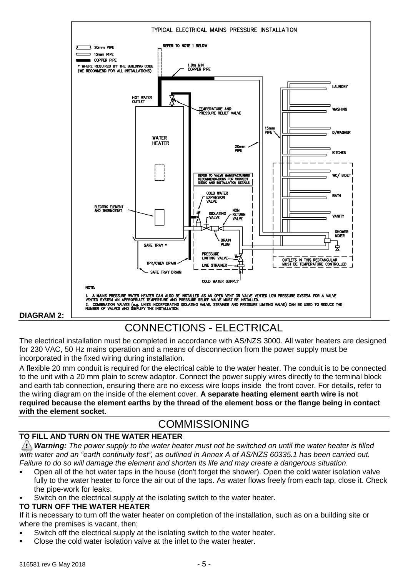

# CONNECTIONS - ELECTRICAL

The electrical installation must be completed in accordance with AS/NZS 3000. All water heaters are designed for 230 VAC, 50 Hz mains operation and a means of disconnection from the power supply must be incorporated in the fixed wiring during installation.

A flexible 20 mm conduit is required for the electrical cable to the water heater. The conduit is to be connected to the unit with a 20 mm plain to screw adaptor. Connect the power supply wires directly to the terminal block and earth tab connection, ensuring there are no excess wire loops inside the front cover. For details, refer to the wiring diagram on the inside of the element cover. **A separate heating element earth wire is not required because the element earths by the thread of the element boss or the flange being in contact with the element socket.**

### COMMISSIONING

#### **TO FILL AND TURN ON THE WATER HEATER**

*Warning: The power supply to the water heater must not be switched on until the water heater is filled with water and an "earth continuity test", as outlined in Annex A of AS/NZS 60335.1 has been carried out. Failure to do so will damage the element and shorten its life and may create a dangerous situation.*

- Open all of the hot water taps in the house (don't forget the shower). Open the cold water isolation valve fully to the water heater to force the air out of the taps. As water flows freely from each tap, close it. Check the pipe-work for leaks.
- Switch on the electrical supply at the isolating switch to the water heater.

#### **TO TURN OFF THE WATER HEATER**

If it is necessary to turn off the water heater on completion of the installation, such as on a building site or where the premises is vacant, then;

- Switch off the electrical supply at the isolating switch to the water heater.
- Close the cold water isolation valve at the inlet to the water heater.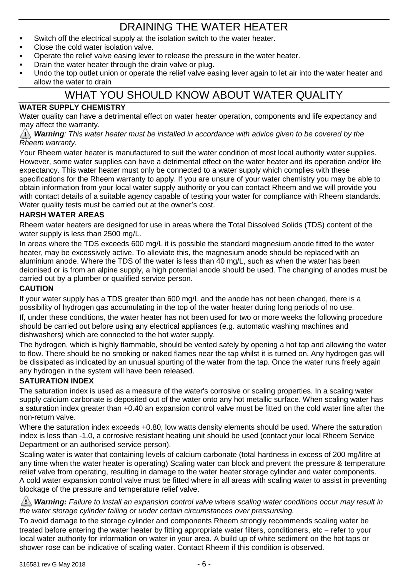# DRAINING THE WATER HEATER

- Switch off the electrical supply at the isolation switch to the water heater.
- Close the cold water isolation valve.
- Operate the relief valve easing lever to release the pressure in the water heater.
- Drain the water heater through the drain valve or plug.
- Undo the top outlet union or operate the relief valve easing lever again to let air into the water heater and allow the water to drain

### WHAT YOU SHOULD KNOW ABOUT WATER QUALITY

#### **WATER SUPPLY CHEMISTRY**

Water quality can have a detrimental effect on water heater operation, components and life expectancy and may affect the warranty.

#### *Warning: This water heater must be installed in accordance with advice given to be covered by the Rheem warranty.*

Your Rheem water heater is manufactured to suit the water condition of most local authority water supplies. However, some water supplies can have a detrimental effect on the water heater and its operation and/or life expectancy. This water heater must only be connected to a water supply which complies with these specifications for the Rheem warranty to apply. If you are unsure of your water chemistry you may be able to obtain information from your local water supply authority or you can contact Rheem and we will provide you with contact details of a suitable agency capable of testing your water for compliance with Rheem standards. Water quality tests must be carried out at the owner's cost.

#### **HARSH WATER AREAS**

Rheem water heaters are designed for use in areas where the Total Dissolved Solids (TDS) content of the water supply is less than 2500 mg/L.

In areas where the TDS exceeds 600 mg/L it is possible the standard magnesium anode fitted to the water heater, may be excessively active. To alleviate this, the magnesium anode should be replaced with an aluminium anode. Where the TDS of the water is less than 40 mg/L, such as when the water has been deionised or is from an alpine supply, a high potential anode should be used. The changing of anodes must be carried out by a plumber or qualified service person.

#### **CAUTION**

If your water supply has a TDS greater than 600 mg/L and the anode has not been changed, there is a possibility of hydrogen gas accumulating in the top of the water heater during long periods of no use.

If, under these conditions, the water heater has not been used for two or more weeks the following procedure should be carried out before using any electrical appliances (e.g. automatic washing machines and dishwashers) which are connected to the hot water supply.

The hydrogen, which is highly flammable, should be vented safely by opening a hot tap and allowing the water to flow. There should be no smoking or naked flames near the tap whilst it is turned on. Any hydrogen gas will be dissipated as indicated by an unusual spurting of the water from the tap. Once the water runs freely again any hydrogen in the system will have been released.

#### **SATURATION INDEX**

The saturation index is used as a measure of the water's corrosive or scaling properties. In a scaling water supply calcium carbonate is deposited out of the water onto any hot metallic surface. When scaling water has a saturation index greater than +0.40 an expansion control valve must be fitted on the cold water line after the non-return valve.

Where the saturation index exceeds +0.80, low watts density elements should be used. Where the saturation index is less than -1.0, a corrosive resistant heating unit should be used (contact your local Rheem Service Department or an authorised service person).

Scaling water is water that containing levels of calcium carbonate (total hardness in excess of 200 mg/litre at any time when the water heater is operating) Scaling water can block and prevent the pressure & temperature relief valve from operating, resulting in damage to the water heater storage cylinder and water components. A cold water expansion control valve must be fitted where in all areas with scaling water to assist in preventing blockage of the pressure and temperature relief valve.

#### *Warning: Failure to install an expansion control valve where scaling water conditions occur may result in the water storage cylinder failing or under certain circumstances over pressurising.*

To avoid damage to the storage cylinder and components Rheem strongly recommends scaling water be treated before entering the water heater by fitting appropriate water filters, conditioners, etc – refer to your local water authority for information on water in your area. A build up of white sediment on the hot taps or shower rose can be indicative of scaling water. Contact Rheem if this condition is observed.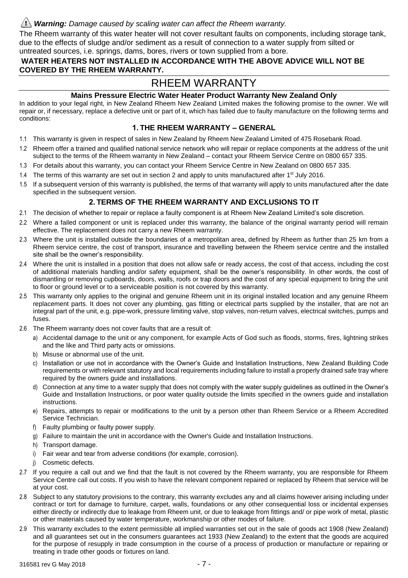#### *Warning: Damage caused by scaling water can affect the Rheem warranty.*

The Rheem warranty of this water heater will not cover resultant faults on components, including storage tank, due to the effects of sludge and/or sediment as a result of connection to a water supply from silted or

#### untreated sources, i.e. springs, dams, bores, rivers or town supplied from a bore.

#### **WATER HEATERS NOT INSTALLED IN ACCORDANCE WITH THE ABOVE ADVICE WILL NOT BE COVERED BY THE RHEEM WARRANTY.**

### RHEEM WARRANTY

#### **Mains Pressure Electric Water Heater Product Warranty New Zealand Only**

In addition to your legal right, in New Zealand Rheem New Zealand Limited makes the following promise to the owner. We will repair or, if necessary, replace a defective unit or part of it, which has failed due to faulty manufacture on the following terms and conditions:

#### **1. THE RHEEM WARRANTY – GENERAL**

- 1.1 This warranty is given in respect of sales in New Zealand by Rheem New Zealand Limited of 475 Rosebank Road.
- 1.2 Rheem offer a trained and qualified national service network who will repair or replace components at the address of the unit subject to the terms of the Rheem warranty in New Zealand – contact your Rheem Service Centre on 0800 657 335.
- 1.3 For details about this warranty, you can contact your Rheem Service Centre in New Zealand on 0800 657 335.
- 1.4 The terms of this warranty are set out in section 2 and apply to units manufactured after  $1<sup>st</sup>$  July 2016.
- 1.5 If a subsequent version of this warranty is published, the terms of that warranty will apply to units manufactured after the date specified in the subsequent version.

#### **2. TERMS OF THE RHEEM WARRANTY AND EXCLUSIONS TO IT**

- 2.1 The decision of whether to repair or replace a faulty component is at Rheem New Zealand Limited's sole discretion.
- 2.2 Where a failed component or unit is replaced under this warranty, the balance of the original warranty period will remain effective. The replacement does not carry a new Rheem warranty.
- 2.3 Where the unit is installed outside the boundaries of a metropolitan area, defined by Rheem as further than 25 km from a Rheem service centre, the cost of transport, insurance and travelling between the Rheem service centre and the installed site shall be the owner's responsibility.
- 2.4 Where the unit is installed in a position that does not allow safe or ready access, the cost of that access, including the cost of additional materials handling and/or safety equipment, shall be the owner's responsibility. In other words, the cost of dismantling or removing cupboards, doors, walls, roofs or trap doors and the cost of any special equipment to bring the unit to floor or ground level or to a serviceable position is not covered by this warranty.
- 2.5 This warranty only applies to the original and genuine Rheem unit in its original installed location and any genuine Rheem replacement parts. It does not cover any plumbing, gas fitting or electrical parts supplied by the installer, that are not an integral part of the unit, e.g. pipe-work, pressure limiting valve, stop valves, non-return valves, electrical switches, pumps and fuses.
- 2.6 The Rheem warranty does not cover faults that are a result of:
	- a) Accidental damage to the unit or any component, for example Acts of God such as floods, storms, fires, lightning strikes and the like and Third party acts or omissions.
	- b) Misuse or abnormal use of the unit.
	- c) Installation or use not in accordance with the Owner's Guide and Installation Instructions, New Zealand Building Code requirements or with relevant statutory and local requirements including failure to install a properly drained safe tray where required by the owners guide and installations.
	- d) Connection at any time to a water supply that does not comply with the water supply guidelines as outlined in the Owner's Guide and Installation Instructions, or poor water quality outside the limits specified in the owners guide and installation instructions.
	- e) Repairs, attempts to repair or modifications to the unit by a person other than Rheem Service or a Rheem Accredited Service Technician.
	- f) Faulty plumbing or faulty power supply.
	- g) Failure to maintain the unit in accordance with the Owner's Guide and Installation Instructions.
	- h) Transport damage.
	- i) Fair wear and tear from adverse conditions (for example, corrosion).
	- j) Cosmetic defects.
- 2.7 If you require a call out and we find that the fault is not covered by the Rheem warranty, you are responsible for Rheem Service Centre call out costs. If you wish to have the relevant component repaired or replaced by Rheem that service will be at your cost.
- 2.8 Subject to any statutory provisions to the contrary, this warranty excludes any and all claims however arising including under contract or tort for damage to furniture, carpet, walls, foundations or any other consequential loss or incidental expenses either directly or indirectly due to leakage from Rheem unit, or due to leakage from fittings and/ or pipe work of metal, plastic or other materials caused by water temperature, workmanship or other modes of failure.
- 2.9 This warranty excludes to the extent permissible all implied warranties set out in the sale of goods act 1908 (New Zealand) and all guarantees set out in the consumers guarantees act 1933 (New Zealand) to the extent that the goods are acquired for the purpose of resupply in trade consumption in the course of a process of production or manufacture or repairing or treating in trade other goods or fixtures on land.